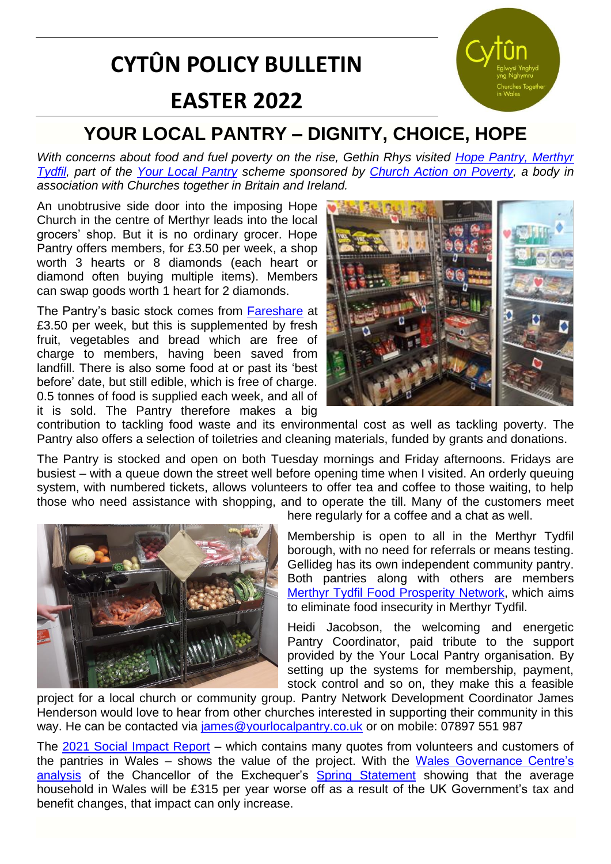# **CYTÛN POLICY BULLETIN EASTER 2022**



### **YOUR LOCAL PANTRY – DIGNITY, CHOICE, HOPE**

*With concerns about food and fuel poverty on the rise, Gethin Rhys visited [Hope Pantry, Merthyr](https://hopemerthyr.org.uk/helpathope)  [Tydfil,](https://hopemerthyr.org.uk/helpathope) part of the [Your Local Pantry](https://www.yourlocalpantry.co.uk/) scheme sponsored by [Church Action on Poverty,](https://www.church-poverty.org.uk/) a body in association with Churches together in Britain and Ireland.*

An unobtrusive side door into the imposing Hope Church in the centre of Merthyr leads into the local grocers' shop. But it is no ordinary grocer. Hope Pantry offers members, for £3.50 per week, a shop worth 3 hearts or 8 diamonds (each heart or diamond often buying multiple items). Members can swap goods worth 1 heart for 2 diamonds.

The Pantry's basic stock comes from [Fareshare](https://fareshare.org.uk/fareshare-centres/cymru-south-wales/) at £3.50 per week, but this is supplemented by fresh fruit, vegetables and bread which are free of charge to members, having been saved from landfill. There is also some food at or past its 'best before' date, but still edible, which is free of charge. 0.5 tonnes of food is supplied each week, and all of it is sold. The Pantry therefore makes a big



contribution to tackling food waste and its environmental cost as well as tackling poverty. The Pantry also offers a selection of toiletries and cleaning materials, funded by grants and donations.

The Pantry is stocked and open on both Tuesday mornings and Friday afternoons. Fridays are busiest – with a queue down the street well before opening time when I visited. An orderly queuing system, with numbered tickets, allows volunteers to offer tea and coffee to those waiting, to help those who need assistance with shopping, and to operate the till. Many of the customers meet



here regularly for a coffee and a chat as well.

Membership is open to all in the Merthyr Tydfil borough, with no need for referrals or means testing. Gellideg has its own independent community pantry. Both pantries along with others are members [Merthyr Tydfil Food Prosperity](https://www.vamt.net/media/2540/inform-november-2021-final.pdf) Network, which aims to eliminate food insecurity in Merthyr Tydfil.

Heidi Jacobson, the welcoming and energetic Pantry Coordinator, paid tribute to the support provided by the Your Local Pantry organisation. By setting up the systems for membership, payment, stock control and so on, they make this a feasible

project for a local church or community group. Pantry Network Development Coordinator James Henderson would love to hear from other churches interested in supporting their community in this way. He can be contacted via [james@yourlocalpantry.co.uk](mailto:james@yourlocalpantry.co.uk) or on mobile: 07897 551 987

The [2021 Social Impact Report](https://www.yourlocalpantry.co.uk/what-is-a-pantry/social-impact-reports/) – which contains many quotes from volunteers and customers of the pantries in Wales - shows the value of the project. With the Wales Governance Centre's [analysis](https://cardiff.us3.list-manage.com/track/click?u=0d4d960f143e97b34536912ce&id=dc5e0eee50&e=93990ce11c) of the Chancellor of the Exchequer's [Spring Statement](https://www.gov.uk/government/publications/spring-statement-2022-documents) showing that the average household in Wales will be £315 per year worse off as a result of the UK Government's tax and benefit changes, that impact can only increase.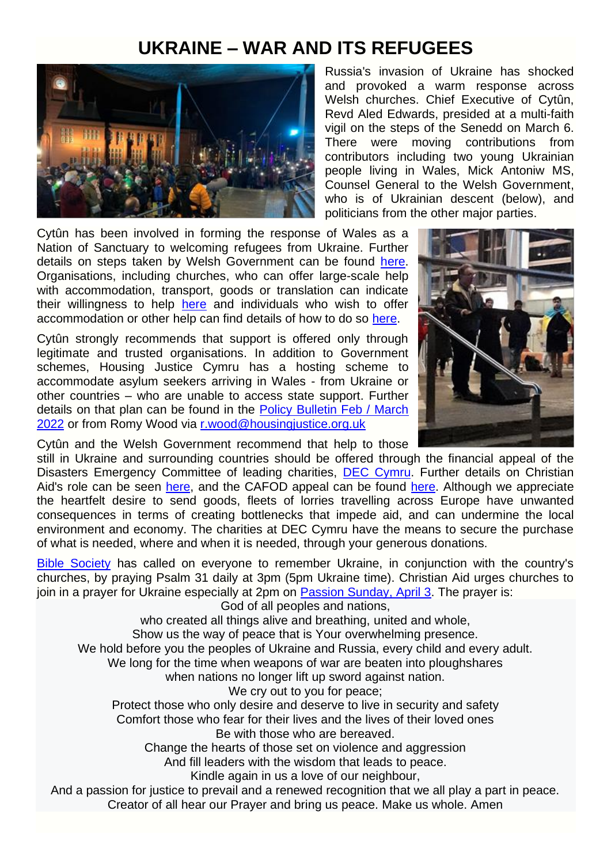### **UKRAINE – WAR AND ITS REFUGEES**



Cytûn has been involved in forming the response of Wales as a Nation of Sanctuary to welcoming refugees from Ukraine. Further details on steps taken by Welsh Government can be found [here.](https://gov.wales/team-wales-welcome-ukraine-people) Organisations, including churches, who can offer large-scale help with accommodation, transport, goods or translation can indicate their willingness to help [here](https://gov.wales/register-business-or-organisation-help-ukrainian-refugees-coming-wales) and individuals who wish to offer accommodation or other help can find details of how to do so [here.](https://gov.wales/ukraine-support-people-affected)

Cytûn strongly recommends that support is offered only through legitimate and trusted organisations. In addition to Government schemes, Housing Justice Cymru has a hosting scheme to accommodate asylum seekers arriving in Wales - from Ukraine or other countries – who are unable to access state support. Further details on that plan can be found in the [Policy Bulletin Feb / March](https://www.cytun.co.uk/hafan/en/policy-bulletin-feb-march-2022/)  [2022](https://www.cytun.co.uk/hafan/en/policy-bulletin-feb-march-2022/) or from Romy Wood via [r.wood@housingjustice.org.uk](mailto:r.wood@housingjustice.org.uk)

Russia's invasion of Ukraine has shocked and provoked a warm response across Welsh churches. Chief Executive of Cytûn, Revd Aled Edwards, presided at a multi-faith vigil on the steps of the Senedd on March 6. There were moving contributions from contributors including two young Ukrainian people living in Wales, Mick Antoniw MS, Counsel General to the Welsh Government, who is of Ukrainian descent (below), and

politicians from the other major parties.

Cytûn and the Welsh Government recommend that help to those

still in Ukraine and surrounding countries should be offered through the financial appeal of the Disasters Emergency Committee of leading charities, **[DEC Cymru.](https://www.facebook.com/deccymru)** Further details on Christian Aid's role can be seen [here,](https://www.christianaid.org.uk/appeals/emergencies/ukraine-crisis-appeal) and the CAFOD appeal can be found [here.](https://cafod.org.uk/Give/Donate-to-Emergencies/Ukraine-Humanitarian-Appeal) Although we appreciate the heartfelt desire to send goods, fleets of lorries travelling across Europe have unwanted consequences in terms of creating bottlenecks that impede aid, and can undermine the local environment and economy. The charities at DEC Cymru have the means to secure the purchase of what is needed, where and when it is needed, through your generous donations.

[Bible Society](https://www.facebook.com/BibleSociety) has called on everyone to remember Ukraine, in conjunction with the country's churches, by praying Psalm 31 daily at 3pm (5pm Ukraine time). Christian Aid urges churches to join in a prayer for Ukraine especially at 2pm on Passion [Sunday, April 3.](https://www.christianaid.org.uk/pray/prayer-ukraine) The prayer is:

God of all peoples and nations,

who created all things alive and breathing, united and whole,

Show us the way of peace that is Your overwhelming presence.

We hold before you the peoples of Ukraine and Russia, every child and every adult.

We long for the time when weapons of war are beaten into ploughshares

when nations no longer lift up sword against nation.

We cry out to you for peace:

Protect those who only desire and deserve to live in security and safety Comfort those who fear for their lives and the lives of their loved ones Be with those who are bereaved.

Change the hearts of those set on violence and aggression

And fill leaders with the wisdom that leads to peace.

Kindle again in us a love of our neighbour,

And a passion for justice to prevail and a renewed recognition that we all play a part in peace. Creator of all hear our Prayer and bring us peace. Make us whole. Amen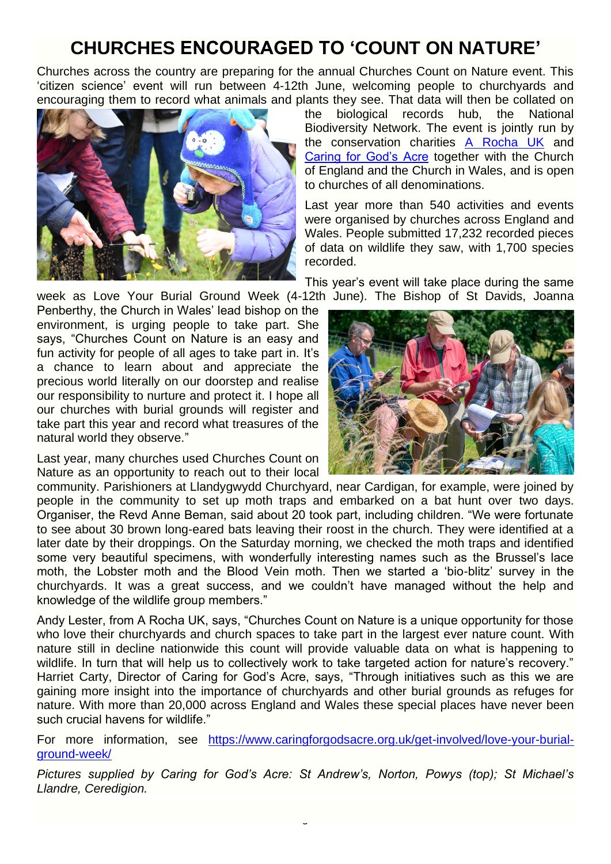# **CHURCHES ENCOURAGED TO 'COUNT ON NATURE'**

Churches across the country are preparing for the annual Churches Count on Nature event. This 'citizen science' event will run between 4-12th June, welcoming people to churchyards and encouraging them to record what animals and plants they see. That data will then be collated on



the biological records hub, the National Biodiversity Network. The event is jointly run by the conservation charities [A Rocha UK](https://arocha.org.uk/) and [Caring for God's Acre](https://www.caringforgodsacre.org.uk/) together with the Church of England and the Church in Wales, and is open to churches of all denominations.

Last year more than 540 activities and events were organised by churches across England and Wales. People submitted 17,232 recorded pieces of data on wildlife they saw, with 1,700 species recorded.

This year's event will take place during the same week as Love Your Burial Ground Week (4-12th June). The Bishop of St Davids, Joanna

Penberthy, the Church in Wales' lead bishop on the environment, is urging people to take part. She says, "Churches Count on Nature is an easy and fun activity for people of all ages to take part in. It's a chance to learn about and appreciate the precious world literally on our doorstep and realise our responsibility to nurture and protect it. I hope all our churches with burial grounds will register and take part this year and record what treasures of the natural world they observe."

Last year, many churches used Churches Count on Nature as an opportunity to reach out to their local



community. Parishioners at Llandygwydd Churchyard, near Cardigan, for example, were joined by people in the community to set up moth traps and embarked on a bat hunt over two days. Organiser, the Revd Anne Beman, said about 20 took part, including children. "We were fortunate to see about 30 brown long-eared bats leaving their roost in the church. They were identified at a later date by their droppings. On the Saturday morning, we checked the moth traps and identified some very beautiful specimens, with wonderfully interesting names such as the Brussel's lace moth, the Lobster moth and the Blood Vein moth. Then we started a 'bio-blitz' survey in the churchyards. It was a great success, and we couldn't have managed without the help and knowledge of the wildlife group members."

Andy Lester, from A Rocha UK, says, "Churches Count on Nature is a unique opportunity for those who love their churchyards and church spaces to take part in the largest ever nature count. With nature still in decline nationwide this count will provide valuable data on what is happening to wildlife. In turn that will help us to collectively work to take targeted action for nature's recovery." Harriet Carty, Director of Caring for God's Acre, says, "Through initiatives such as this we are gaining more insight into the importance of churchyards and other burial grounds as refuges for nature. With more than 20,000 across England and Wales these special places have never been such crucial havens for wildlife."

For more information, see [https://www.caringforgodsacre.org.uk/get-involved/love-your-burial](https://www.caringforgodsacre.org.uk/get-involved/love-your-burial-ground-week/)[ground-week/](https://www.caringforgodsacre.org.uk/get-involved/love-your-burial-ground-week/)

*Pictures supplied by Caring for God's Acre: St Andrew's, Norton, Powys (top); St Michael's Llandre, Ceredigion.*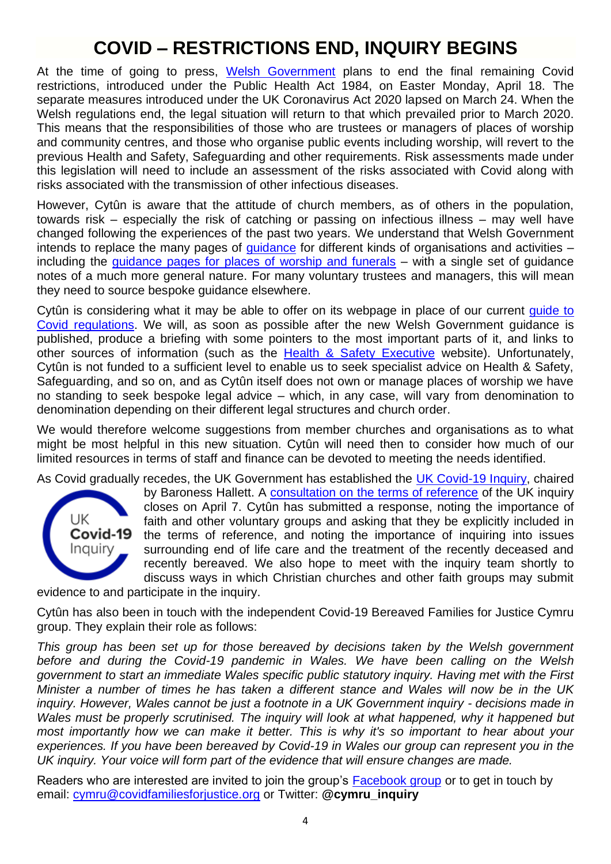## **COVID – RESTRICTIONS END, INQUIRY BEGINS**

At the time of going to press, [Welsh Government](https://gov.wales/coronavirus) plans to end the final remaining Covid restrictions, introduced under the Public Health Act 1984, on Easter Monday, April 18. The separate measures introduced under the UK Coronavirus Act 2020 lapsed on March 24. When the Welsh regulations end, the legal situation will return to that which prevailed prior to March 2020. This means that the responsibilities of those who are trustees or managers of places of worship and community centres, and those who organise public events including worship, will revert to the previous Health and Safety, Safeguarding and other requirements. Risk assessments made under this legislation will need to include an assessment of the risks associated with Covid along with risks associated with the transmission of other infectious diseases.

However, Cytûn is aware that the attitude of church members, as of others in the population, towards risk – especially the risk of catching or passing on infectious illness – may well have changed following the experiences of the past two years. We understand that Welsh Government intends to replace the many pages of [guidance](https://gov.wales/alert-level-0-guidance-employers-businesses-and-organisations) for different kinds of organisations and activities – including the [guidance pages for places of worship and funerals](https://gov.wales/places-worship-and-funerals-potential-reasonable-measures-action-card-alert-level-0) – with a single set of guidance notes of a much more general nature. For many voluntary trustees and managers, this will mean they need to source bespoke guidance elsewhere.

Cytûn is considering what it may be able to offer on its webpage in place of our current quide to [Covid regulations.](https://www.cytun.co.uk/hafan/en/covid-19-briefing-paper/) We will, as soon as possible after the new Welsh Government guidance is published, produce a briefing with some pointers to the most important parts of it, and links to other sources of information (such as the [Health & Safety Executive](https://www.hse.gov.uk/index.htm) website). Unfortunately, Cytûn is not funded to a sufficient level to enable us to seek specialist advice on Health & Safety, Safeguarding, and so on, and as Cytûn itself does not own or manage places of worship we have no standing to seek bespoke legal advice – which, in any case, will vary from denomination to denomination depending on their different legal structures and church order.

We would therefore welcome suggestions from member churches and organisations as to what might be most helpful in this new situation. Cytûn will need then to consider how much of our limited resources in terms of staff and finance can be devoted to meeting the needs identified.

As Covid gradually recedes, the UK Government has established the [UK Covid-19 Inquiry,](https://covid19.public-inquiry.uk/) chaired



by Baroness Hallett. A [consultation on the terms of reference](https://ukcovid19inquiry.citizenspace.com/contribute/terms-of-reference-consultation/) of the UK inquiry closes on April 7. Cytûn has submitted a response, noting the importance of faith and other voluntary groups and asking that they be explicitly included in the terms of reference, and noting the importance of inquiring into issues surrounding end of life care and the treatment of the recently deceased and recently bereaved. We also hope to meet with the inquiry team shortly to discuss ways in which Christian churches and other faith groups may submit

evidence to and participate in the inquiry.

Cytûn has also been in touch with the independent Covid-19 Bereaved Families for Justice Cymru group. They explain their role as follows:

*This group has been set up for those bereaved by decisions taken by the Welsh government before and during the Covid-19 pandemic in Wales. We have been calling on the Welsh government to start an immediate Wales specific public statutory inquiry. Having met with the First Minister a number of times he has taken a different stance and Wales will now be in the UK inquiry. However, Wales cannot be just a footnote in a UK Government inquiry - decisions made in Wales must be properly scrutinised. The inquiry will look at what happened, why it happened but most importantly how we can make it better. This is why it's so important to hear about your experiences. If you have been bereaved by Covid-19 in Wales our group can represent you in the UK inquiry. Your voice will form part of the evidence that will ensure changes are made.*

Readers who are interested are invited to join the group's [Facebook group](https://www.facebook.com/groups/353549163088125) or to get in touch by email: [cymru@covidfamiliesforjustice.org](mailto:cymru@covidfamiliesforjustice.org) or Twitter: **@cymru\_inquiry**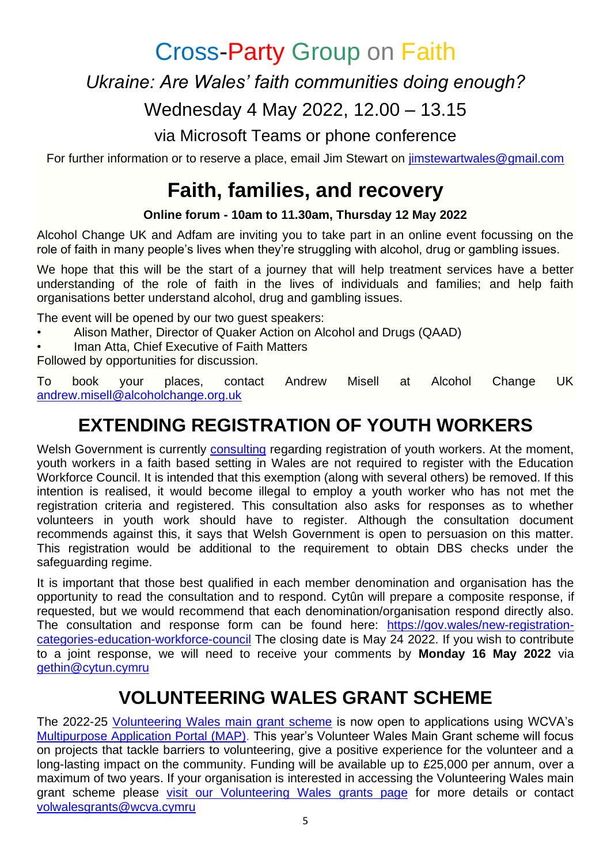Cross-Party Group on Faith

*Ukraine: Are Wales' faith communities doing enough?*

Wednesday 4 May 2022, 12.00 – 13.15

via Microsoft Teams or phone conference

For further information or to reserve a place, email Jim Stewart on [jimstewartwales@gmail.com](mailto:jimstewartwales@gmail.com)

# **Faith, families, and recovery**

#### **Online forum - 10am to 11.30am, Thursday 12 May 2022**

Alcohol Change UK and Adfam are inviting you to take part in an online event focussing on the role of faith in many people's lives when they're struggling with alcohol, drug or gambling issues.

We hope that this will be the start of a journey that will help treatment services have a better understanding of the role of faith in the lives of individuals and families; and help faith organisations better understand alcohol, drug and gambling issues.

The event will be opened by our two guest speakers:

- Alison Mather, Director of Quaker Action on Alcohol and Drugs (QAAD)
- Iman Atta, Chief Executive of Faith Matters

Followed by opportunities for discussion.

To book your places, contact Andrew Misell at Alcohol Change UK [andrew.misell@alcoholchange.org.uk](mailto:andrew.misell@alcoholchange.org.uk)

# **EXTENDING REGISTRATION OF YOUTH WORKERS**

Welsh Government is currently [consulting](https://gov.wales/new-registration-categories-education-workforce-council) regarding registration of youth workers. At the moment, youth workers in a faith based setting in Wales are not required to register with the Education Workforce Council. It is intended that this exemption (along with several others) be removed. If this intention is realised, it would become illegal to employ a youth worker who has not met the registration criteria and registered. This consultation also asks for responses as to whether volunteers in youth work should have to register. Although the consultation document recommends against this, it says that Welsh Government is open to persuasion on this matter. This registration would be additional to the requirement to obtain DBS checks under the safeguarding regime.

It is important that those best qualified in each member denomination and organisation has the opportunity to read the consultation and to respond. Cytûn will prepare a composite response, if requested, but we would recommend that each denomination/organisation respond directly also. The consultation and response form can be found here: [https://gov.wales/new-registration](https://gov.wales/new-registration-categories-education-workforce-council)[categories-education-workforce-council](https://gov.wales/new-registration-categories-education-workforce-council) The closing date is May 24 2022. If you wish to contribute to a joint response, we will need to receive your comments by **Monday 16 May 2022** via [gethin@cytun.cymru](mailto:gethin@cytun.cymru)

# **VOLUNTEERING WALES GRANT SCHEME**

The 2022-25 [Volunteering Wales main grant scheme](https://wcva.cymru/vwg) is now open to applications using WCVA's [Multipurpose Application Portal \(MAP\).](https://map.wcva.cymru/) This year's Volunteer Wales Main Grant scheme will focus on projects that tackle barriers to volunteering, give a positive experience for the volunteer and a long-lasting impact on the community. Funding will be available up to £25,000 per annum, over a maximum of two years. If your organisation is interested in accessing the Volunteering Wales main grant scheme please [visit our Volunteering Wales grants page](https://wcva.cymru/funding/vwg/) for more details or contact [volwalesgrants@wcva.cymru](mailto:volwalesgrants@wcva.cymru)